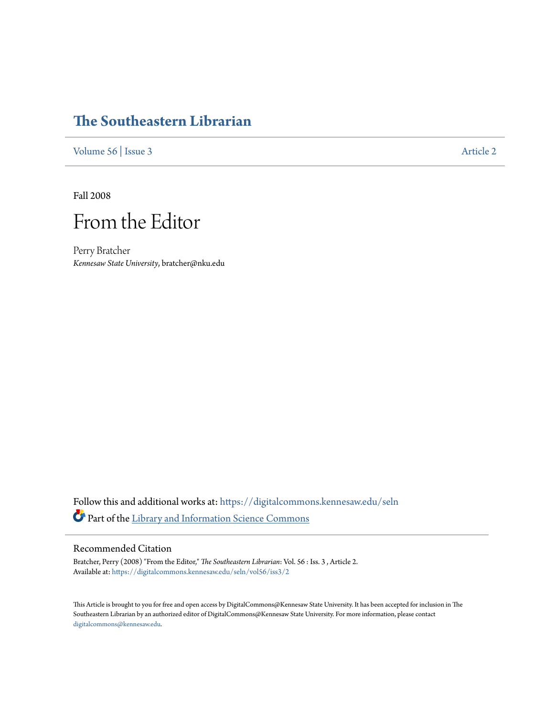## **[The Southeastern Librarian](https://digitalcommons.kennesaw.edu/seln?utm_source=digitalcommons.kennesaw.edu%2Fseln%2Fvol56%2Fiss3%2F2&utm_medium=PDF&utm_campaign=PDFCoverPages)**

[Volume 56](https://digitalcommons.kennesaw.edu/seln/vol56?utm_source=digitalcommons.kennesaw.edu%2Fseln%2Fvol56%2Fiss3%2F2&utm_medium=PDF&utm_campaign=PDFCoverPages) | [Issue 3](https://digitalcommons.kennesaw.edu/seln/vol56/iss3?utm_source=digitalcommons.kennesaw.edu%2Fseln%2Fvol56%2Fiss3%2F2&utm_medium=PDF&utm_campaign=PDFCoverPages) [Article 2](https://digitalcommons.kennesaw.edu/seln/vol56/iss3/2?utm_source=digitalcommons.kennesaw.edu%2Fseln%2Fvol56%2Fiss3%2F2&utm_medium=PDF&utm_campaign=PDFCoverPages)

Fall 2008



Perry Bratcher *Kennesaw State University*, bratcher@nku.edu

Follow this and additional works at: [https://digitalcommons.kennesaw.edu/seln](https://digitalcommons.kennesaw.edu/seln?utm_source=digitalcommons.kennesaw.edu%2Fseln%2Fvol56%2Fiss3%2F2&utm_medium=PDF&utm_campaign=PDFCoverPages) Part of the [Library and Information Science Commons](http://network.bepress.com/hgg/discipline/1018?utm_source=digitalcommons.kennesaw.edu%2Fseln%2Fvol56%2Fiss3%2F2&utm_medium=PDF&utm_campaign=PDFCoverPages)

## Recommended Citation

Bratcher, Perry (2008) "From the Editor," *The Southeastern Librarian*: Vol. 56 : Iss. 3 , Article 2. Available at: [https://digitalcommons.kennesaw.edu/seln/vol56/iss3/2](https://digitalcommons.kennesaw.edu/seln/vol56/iss3/2?utm_source=digitalcommons.kennesaw.edu%2Fseln%2Fvol56%2Fiss3%2F2&utm_medium=PDF&utm_campaign=PDFCoverPages)

This Article is brought to you for free and open access by DigitalCommons@Kennesaw State University. It has been accepted for inclusion in The Southeastern Librarian by an authorized editor of DigitalCommons@Kennesaw State University. For more information, please contact [digitalcommons@kennesaw.edu.](mailto:digitalcommons@kennesaw.edu)